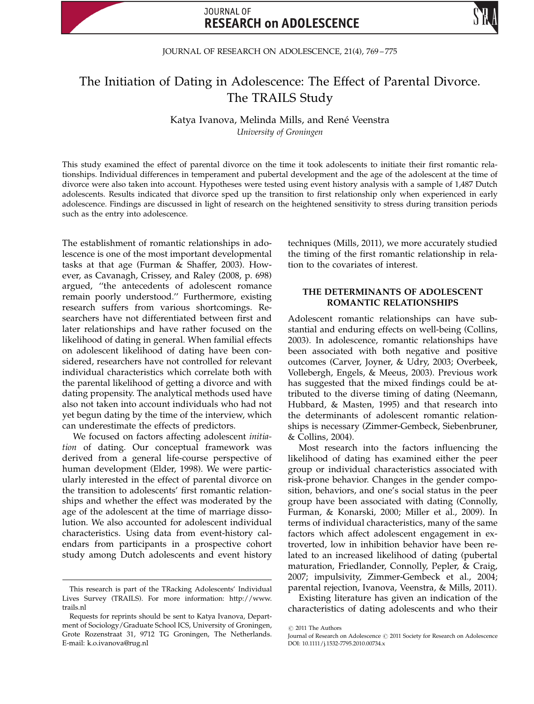**JOURNAL OF RESEARCH on ADOLESCENCE** 



# JOURNAL OF RESEARCH ON ADOLESCENCE, 21(4), 769 – 775

# The Initiation of Dating in Adolescence: The Effect of Parental Divorce. The TRAILS Study

Katya Ivanova, Melinda Mills, and René Veenstra University of Groningen

This study examined the effect of parental divorce on the time it took adolescents to initiate their first romantic relationships. Individual differences in temperament and pubertal development and the age of the adolescent at the time of divorce were also taken into account. Hypotheses were tested using event history analysis with a sample of 1,487 Dutch adolescents. Results indicated that divorce sped up the transition to first relationship only when experienced in early adolescence. Findings are discussed in light of research on the heightened sensitivity to stress during transition periods such as the entry into adolescence.

The establishment of romantic relationships in adolescence is one of the most important developmental tasks at that age (Furman & Shaffer, 2003). However, as Cavanagh, Crissey, and Raley (2008, p. 698) argued, ''the antecedents of adolescent romance remain poorly understood.'' Furthermore, existing research suffers from various shortcomings. Researchers have not differentiated between first and later relationships and have rather focused on the likelihood of dating in general. When familial effects on adolescent likelihood of dating have been considered, researchers have not controlled for relevant individual characteristics which correlate both with the parental likelihood of getting a divorce and with dating propensity. The analytical methods used have also not taken into account individuals who had not yet begun dating by the time of the interview, which can underestimate the effects of predictors.

We focused on factors affecting adolescent initiation of dating. Our conceptual framework was derived from a general life-course perspective of human development (Elder, 1998). We were particularly interested in the effect of parental divorce on the transition to adolescents' first romantic relationships and whether the effect was moderated by the age of the adolescent at the time of marriage dissolution. We also accounted for adolescent individual characteristics. Using data from event-history calendars from participants in a prospective cohort study among Dutch adolescents and event history techniques (Mills, 2011), we more accurately studied the timing of the first romantic relationship in relation to the covariates of interest.

# THE DETERMINANTS OF ADOLESCENT ROMANTIC RELATIONSHIPS

Adolescent romantic relationships can have substantial and enduring effects on well-being (Collins, 2003). In adolescence, romantic relationships have been associated with both negative and positive outcomes (Carver, Joyner, & Udry, 2003; Overbeek, Vollebergh, Engels, & Meeus, 2003). Previous work has suggested that the mixed findings could be attributed to the diverse timing of dating (Neemann, Hubbard, & Masten, 1995) and that research into the determinants of adolescent romantic relationships is necessary (Zimmer-Gembeck, Siebenbruner, & Collins, 2004).

Most research into the factors influencing the likelihood of dating has examined either the peer group or individual characteristics associated with risk-prone behavior. Changes in the gender composition, behaviors, and one's social status in the peer group have been associated with dating (Connolly, Furman, & Konarski, 2000; Miller et al., 2009). In terms of individual characteristics, many of the same factors which affect adolescent engagement in extroverted, low in inhibition behavior have been related to an increased likelihood of dating (pubertal maturation, Friedlander, Connolly, Pepler, & Craig, 2007; impulsivity, Zimmer-Gembeck et al., 2004; parental rejection, Ivanova, Veenstra, & Mills, 2011).

Existing literature has given an indication of the characteristics of dating adolescents and who their

This research is part of the TRacking Adolescents' Individual Lives Survey (TRAILS). For more information: [http://www.](http://www.trails.nl) [trails.nl](http://www.trails.nl)

Requests for reprints should be sent to Katya Ivanova, Department of Sociology/Graduate School ICS, University of Groningen, Grote Rozenstraat 31, 9712 TG Groningen, The Netherlands. E-mail: [k.o.ivanova@rug.nl](mailto:k.o.ivanova@rug.nl)

 $\odot$  2011 The Authors

Journal of Research on Adolescence  $\odot$  2011 Society for Research on Adolescence DOI: 10.1111/j.1532-7795.2010.00734.x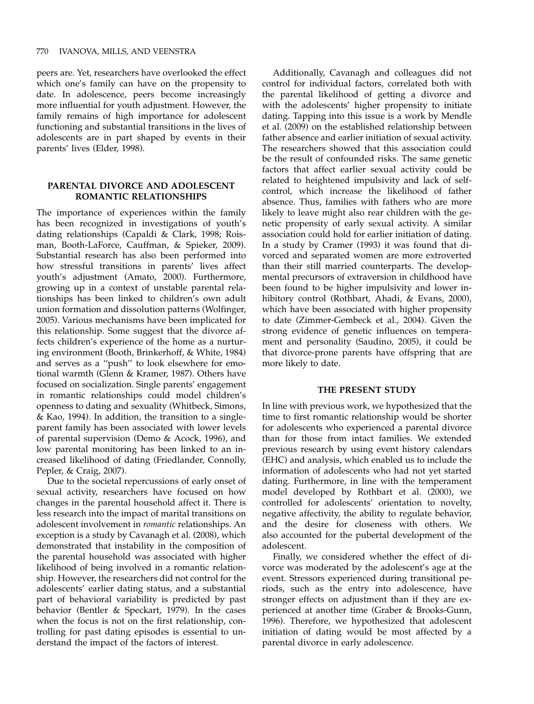peers are. Yet, researchers have overlooked the effect which one's family can have on the propensity to date. In adolescence, peers become increasingly more influential for youth adjustment. However, the family remains of high importance for adolescent functioning and substantial transitions in the lives of adolescents are in part shaped by events in their parents' lives (Elder, 1998).

# PARENTAL DIVORCE AND ADOLESCENT ROMANTIC RELATIONSHIPS

The importance of experiences within the family has been recognized in investigations of youth's dating relationships (Capaldi & Clark, 1998; Roisman, Booth-LaForce, Cauffman, & Spieker, 2009). Substantial research has also been performed into how stressful transitions in parents' lives affect youth's adjustment (Amato, 2000). Furthermore, growing up in a context of unstable parental relationships has been linked to children's own adult union formation and dissolution patterns (Wolfinger, 2005). Various mechanisms have been implicated for this relationship. Some suggest that the divorce affects children's experience of the home as a nurturing environment (Booth, Brinkerhoff, & White, 1984) and serves as a ''push'' to look elsewhere for emotional warmth (Glenn & Kramer, 1987). Others have focused on socialization. Single parents' engagement in romantic relationships could model children's openness to dating and sexuality (Whitbeck, Simons, & Kao, 1994). In addition, the transition to a singleparent family has been associated with lower levels of parental supervision (Demo & Acock, 1996), and low parental monitoring has been linked to an increased likelihood of dating (Friedlander, Connolly, Pepler, & Craig, 2007).

Due to the societal repercussions of early onset of sexual activity, researchers have focused on how changes in the parental household affect it. There is less research into the impact of marital transitions on adolescent involvement in romantic relationships. An exception is a study by Cavanagh et al. (2008), which demonstrated that instability in the composition of the parental household was associated with higher likelihood of being involved in a romantic relationship. However, the researchers did not control for the adolescents' earlier dating status, and a substantial part of behavioral variability is predicted by past behavior (Bentler & Speckart, 1979). In the cases when the focus is not on the first relationship, controlling for past dating episodes is essential to understand the impact of the factors of interest.

Additionally, Cavanagh and colleagues did not control for individual factors, correlated both with the parental likelihood of getting a divorce and with the adolescents' higher propensity to initiate dating. Tapping into this issue is a work by Mendle et al. (2009) on the established relationship between father absence and earlier initiation of sexual activity. The researchers showed that this association could be the result of confounded risks. The same genetic factors that affect earlier sexual activity could be related to heightened impulsivity and lack of selfcontrol, which increase the likelihood of father absence. Thus, families with fathers who are more likely to leave might also rear children with the genetic propensity of early sexual activity. A similar association could hold for earlier initiation of dating. In a study by Cramer (1993) it was found that divorced and separated women are more extroverted than their still married counterparts. The developmental precursors of extraversion in childhood have been found to be higher impulsivity and lower inhibitory control (Rothbart, Ahadi, & Evans, 2000), which have been associated with higher propensity to date (Zimmer-Gembeck et al., 2004). Given the strong evidence of genetic influences on temperament and personality (Saudino, 2005), it could be that divorce-prone parents have offspring that are more likely to date.

# THE PRESENT STUDY

In line with previous work, we hypothesized that the time to first romantic relationship would be shorter for adolescents who experienced a parental divorce than for those from intact families. We extended previous research by using event history calendars (EHC) and analysis, which enabled us to include the information of adolescents who had not yet started dating. Furthermore, in line with the temperament model developed by Rothbart et al. (2000), we controlled for adolescents' orientation to novelty, negative affectivity, the ability to regulate behavior, and the desire for closeness with others. We also accounted for the pubertal development of the adolescent.

Finally, we considered whether the effect of divorce was moderated by the adolescent's age at the event. Stressors experienced during transitional periods, such as the entry into adolescence, have stronger effects on adjustment than if they are experienced at another time (Graber & Brooks-Gunn, 1996). Therefore, we hypothesized that adolescent initiation of dating would be most affected by a parental divorce in early adolescence.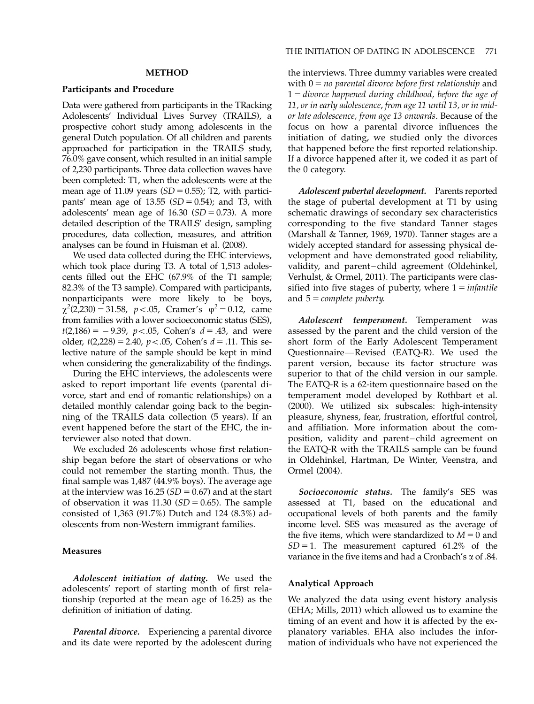# METHOD

#### Participants and Procedure

Data were gathered from participants in the TRacking Adolescents' Individual Lives Survey (TRAILS), a prospective cohort study among adolescents in the general Dutch population. Of all children and parents approached for participation in the TRAILS study, 76.0% gave consent, which resulted in an initial sample of 2,230 participants. Three data collection waves have been completed: T1, when the adolescents were at the mean age of 11.09 years  $(SD = 0.55)$ ; T2, with participants' mean age of 13.55  $(SD = 0.54)$ ; and T3, with adolescents' mean age of  $16.30$  (SD = 0.73). A more detailed description of the TRAILS' design, sampling procedures, data collection, measures, and attrition analyses can be found in Huisman et al. (2008).

We used data collected during the EHC interviews, which took place during T3. A total of 1,513 adolescents filled out the EHC (67.9% of the T1 sample; 82.3% of the T3 sample). Compared with participants, nonparticipants were more likely to be boys,  $\chi^2(2,230) = 31.58$ ,  $p < .05$ , Cramer's  $\varphi^2 = 0.12$ , came from families with a lower socioeconomic status (SES),  $t(2,186) = -9.39$ ,  $p < .05$ , Cohen's  $d = .43$ , and were older,  $t(2,228) = 2.40$ ,  $p < .05$ , Cohen's  $d = .11$ . This selective nature of the sample should be kept in mind when considering the generalizability of the findings.

During the EHC interviews, the adolescents were asked to report important life events (parental divorce, start and end of romantic relationships) on a detailed monthly calendar going back to the beginning of the TRAILS data collection (5 years). If an event happened before the start of the EHC, the interviewer also noted that down.

We excluded 26 adolescents whose first relationship began before the start of observations or who could not remember the starting month. Thus, the final sample was 1,487 (44.9% boys). The average age at the interview was 16.25 ( $SD = 0.67$ ) and at the start of observation it was 11.30  $(SD = 0.65)$ . The sample consisted of 1,363 (91.7%) Dutch and 124 (8.3%) adolescents from non-Western immigrant families.

# Measures

Adolescent initiation of dating. We used the adolescents' report of starting month of first relationship (reported at the mean age of 16.25) as the definition of initiation of dating.

Parental divorce. Experiencing a parental divorce and its date were reported by the adolescent during

the interviews. Three dummy variables were created with  $0 = no$  parental divorce before first relationship and  $1 =$  divorce happened during childhood, before the age of 11, or in early adolescence, from age 11 until 13, or in midor late adolescence, from age 13 onwards. Because of the focus on how a parental divorce influences the initiation of dating, we studied only the divorces that happened before the first reported relationship. If a divorce happened after it, we coded it as part of the 0 category.

Adolescent pubertal development. Parents reported the stage of pubertal development at T1 by using schematic drawings of secondary sex characteristics corresponding to the five standard Tanner stages (Marshall & Tanner, 1969, 1970). Tanner stages are a widely accepted standard for assessing physical development and have demonstrated good reliability, validity, and parent – child agreement (Oldehinkel, Verhulst, & Ormel, 2011). The participants were classified into five stages of puberty, where  $1 = infantile$ and  $5 =$  complete puberty.

Adolescent temperament. Temperament was assessed by the parent and the child version of the short form of the Early Adolescent Temperament Questionnaire—Revised (EATQ-R). We used the parent version, because its factor structure was superior to that of the child version in our sample. The EATQ-R is a 62-item questionnaire based on the temperament model developed by Rothbart et al. (2000). We utilized six subscales: high-intensity pleasure, shyness, fear, frustration, effortful control, and affiliation. More information about the composition, validity and parent – child agreement on the EATQ-R with the TRAILS sample can be found in Oldehinkel, Hartman, De Winter, Veenstra, and Ormel (2004).

Socioeconomic status. The family's SES was assessed at T1, based on the educational and occupational levels of both parents and the family income level. SES was measured as the average of the five items, which were standardized to  $M=0$  and  $SD = 1$ . The measurement captured 61.2% of the variance in the five items and had a Cronbach's  $\alpha$  of .84.

# Analytical Approach

We analyzed the data using event history analysis (EHA; Mills, 2011) which allowed us to examine the timing of an event and how it is affected by the explanatory variables. EHA also includes the information of individuals who have not experienced the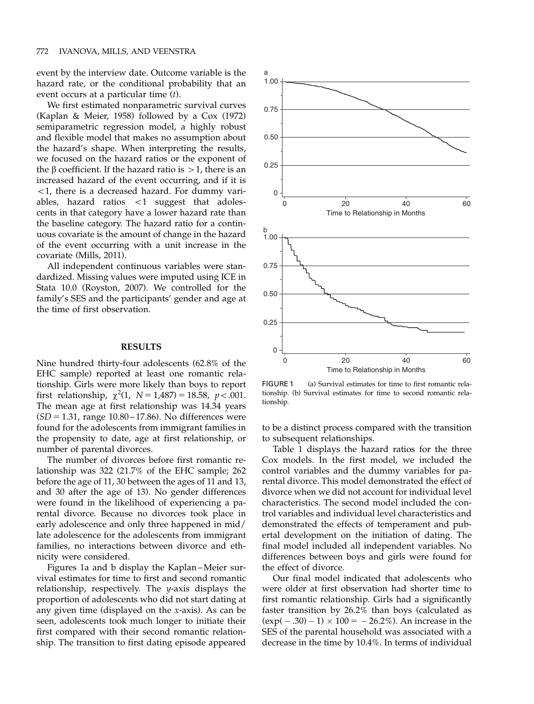event by the interview date. Outcome variable is the hazard rate, or the conditional probability that an event occurs at a particular time (t).

We first estimated nonparametric survival curves (Kaplan & Meier, 1958) followed by a Cox (1972) semiparametric regression model, a highly robust and flexible model that makes no assumption about the hazard's shape. When interpreting the results, we focused on the hazard ratios or the exponent of the  $\beta$  coefficient. If the hazard ratio is  $>1$ , there is an increased hazard of the event occurring, and if it is  $\langle 1 \rangle$ , there is a decreased hazard. For dummy variables, hazard ratios  $<$ 1 suggest that adolescents in that category have a lower hazard rate than the baseline category. The hazard ratio for a continuous covariate is the amount of change in the hazard of the event occurring with a unit increase in the covariate (Mills, 2011).

All independent continuous variables were standardized. Missing values were imputed using ICE in Stata 10.0 (Royston, 2007). We controlled for the family's SES and the participants' gender and age at the time of first observation.

# RESULTS

Nine hundred thirty-four adolescents (62.8% of the EHC sample) reported at least one romantic relationship. Girls were more likely than boys to report first relationship,  $\chi^2(1, N=1.487) = 18.58, p < .001$ . The mean age at first relationship was 14.34 years  $(SD = 1.31$ , range 10.80 – 17.86). No differences were found for the adolescents from immigrant families in the propensity to date, age at first relationship, or number of parental divorces.

The number of divorces before first romantic relationship was 322 (21.7% of the EHC sample; 262 before the age of 11, 30 between the ages of 11 and 13, and 30 after the age of 13). No gender differences were found in the likelihood of experiencing a parental divorce. Because no divorces took place in early adolescence and only three happened in mid/ late adolescence for the adolescents from immigrant families, no interactions between divorce and ethnicity were considered.

Figures 1a and b display the Kaplan –Meier survival estimates for time to first and second romantic relationship, respectively. The y-axis displays the proportion of adolescents who did not start dating at any given time (displayed on the  $x$ -axis). As can be seen, adolescents took much longer to initiate their first compared with their second romantic relationship. The transition to first dating episode appeared



FIGURE 1 (a) Survival estimates for time to first romantic relationship. (b) Survival estimates for time to second romantic relationship.

to be a distinct process compared with the transition to subsequent relationships.

Table 1 displays the hazard ratios for the three Cox models. In the first model, we included the control variables and the dummy variables for parental divorce. This model demonstrated the effect of divorce when we did not account for individual level characteristics. The second model included the control variables and individual level characteristics and demonstrated the effects of temperament and pubertal development on the initiation of dating. The final model included all independent variables. No differences between boys and girls were found for the effect of divorce.

Our final model indicated that adolescents who were older at first observation had shorter time to first romantic relationship. Girls had a significantly faster transition by 26.2% than boys (calculated as  $(exp(-.30) - 1) \times 100 = -26.2\%)$ . An increase in the SES of the parental household was associated with a decrease in the time by 10.4%. In terms of individual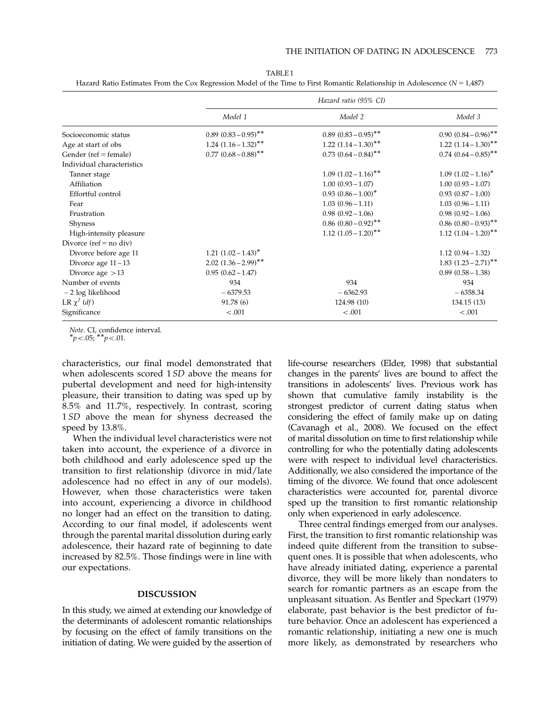TABLE 1 Hazard Ratio Estimates From the Cox Regression Model of the Time to First Romantic Relationship in Adolescence ( $N = 1,487$ )

|                            | Hazard ratio (95% CI)       |                                      |                           |
|----------------------------|-----------------------------|--------------------------------------|---------------------------|
|                            | Model 1                     | Model 2                              | Model 3                   |
| Socioeconomic status       | $0.89$ $(0.83 - 0.95)$ **   | $0.89$ $(0.83 - 0.95)$ **            | $0.90(0.84-0.96)$ **      |
| Age at start of obs        | $1.24$ $(1.16 - 1.32)$ **   | $1.22$ $(1.14 - 1.30)$ **            | $1.22$ $(1.14 - 1.30)$ ** |
| Gender (ref $=$ female)    | $0.77$ $(0.68 - 0.88)^{**}$ | $0.73$ $(0.64 - 0.84)$ **            | $0.74~(0.64-0.85)$ **     |
| Individual characteristics |                             |                                      |                           |
| Tanner stage               |                             | $1.09$ $(1.02 - 1.16)$ <sup>**</sup> | $1.09$ $(1.02 - 1.16)^*$  |
| Affiliation                |                             | $1.00(0.93 - 1.07)$                  | $1.00(0.93 - 1.07)$       |
| Effortful control          |                             | $0.93(0.86-1.00)^*$                  | $0.93(0.87-1.00)$         |
| Fear                       |                             | $1.03(0.96 - 1.11)$                  | $1.03(0.96 - 1.11)$       |
| Frustration                |                             | $0.98(0.92 - 1.06)$                  | $0.98(0.92 - 1.06)$       |
| Shyness                    |                             | $0.86$ $(0.80 - 0.92)$ **            | $0.86 (0.80 - 0.93)$ **   |
| High-intensity pleasure    |                             | $1.12 (1.05 - 1.20)$ **              | $1.12 (1.04 - 1.20)$ **   |
| Divorce (ref = no div)     |                             |                                      |                           |
| Divorce before age 11      | $1.21 (1.02 - 1.43)^*$      |                                      | $1.12(0.94 - 1.32)$       |
| Divorce age $11-13$        | $2.02 (1.36 - 2.99)$ **     |                                      | $1.83$ $(1.23 - 2.71)$ ** |
| Divorce age $>13$          | $0.95(0.62 - 1.47)$         |                                      | $0.89(0.58 - 1.38)$       |
| Number of events           | 934                         | 934                                  | 934                       |
| $-2$ log likelihood        | $-6379.53$                  | $-6362.93$                           | $-6358.34$                |
| LR $\chi^2$ (df)           | 91.78(6)                    | 124.98 (10)                          | 134.15 (13)               |
| Significance               | $-.001$                     | < .001                               | $-.001$                   |

Note. CI, confidence interval.

 $p < .05;$  \*\* $p < .01$ .

characteristics, our final model demonstrated that when adolescents scored 1 SD above the means for pubertal development and need for high-intensity pleasure, their transition to dating was sped up by 8.5% and 11.7%, respectively. In contrast, scoring 1 SD above the mean for shyness decreased the speed by 13.8%.

When the individual level characteristics were not taken into account, the experience of a divorce in both childhood and early adolescence sped up the transition to first relationship (divorce in mid/late adolescence had no effect in any of our models). However, when those characteristics were taken into account, experiencing a divorce in childhood no longer had an effect on the transition to dating. According to our final model, if adolescents went through the parental marital dissolution during early adolescence, their hazard rate of beginning to date increased by 82.5%. Those findings were in line with our expectations.

# DISCUSSION

In this study, we aimed at extending our knowledge of the determinants of adolescent romantic relationships by focusing on the effect of family transitions on the initiation of dating. We were guided by the assertion of

life-course researchers (Elder, 1998) that substantial changes in the parents' lives are bound to affect the transitions in adolescents' lives. Previous work has shown that cumulative family instability is the strongest predictor of current dating status when considering the effect of family make up on dating (Cavanagh et al., 2008). We focused on the effect of marital dissolution on time to first relationship while controlling for who the potentially dating adolescents were with respect to individual level characteristics. Additionally, we also considered the importance of the timing of the divorce. We found that once adolescent characteristics were accounted for, parental divorce sped up the transition to first romantic relationship only when experienced in early adolescence.

Three central findings emerged from our analyses. First, the transition to first romantic relationship was indeed quite different from the transition to subsequent ones. It is possible that when adolescents, who have already initiated dating, experience a parental divorce, they will be more likely than nondaters to search for romantic partners as an escape from the unpleasant situation. As Bentler and Speckart (1979) elaborate, past behavior is the best predictor of future behavior. Once an adolescent has experienced a romantic relationship, initiating a new one is much more likely, as demonstrated by researchers who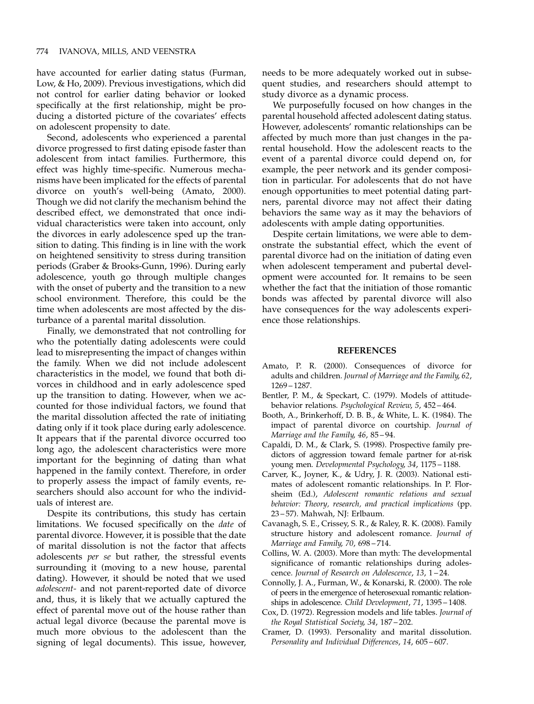have accounted for earlier dating status (Furman, Low, & Ho, 2009). Previous investigations, which did not control for earlier dating behavior or looked specifically at the first relationship, might be producing a distorted picture of the covariates' effects on adolescent propensity to date.

Second, adolescents who experienced a parental divorce progressed to first dating episode faster than adolescent from intact families. Furthermore, this effect was highly time-specific. Numerous mechanisms have been implicated for the effects of parental divorce on youth's well-being (Amato, 2000). Though we did not clarify the mechanism behind the described effect, we demonstrated that once individual characteristics were taken into account, only the divorces in early adolescence sped up the transition to dating. This finding is in line with the work on heightened sensitivity to stress during transition periods (Graber & Brooks-Gunn, 1996). During early adolescence, youth go through multiple changes with the onset of puberty and the transition to a new school environment. Therefore, this could be the time when adolescents are most affected by the disturbance of a parental marital dissolution.

Finally, we demonstrated that not controlling for who the potentially dating adolescents were could lead to misrepresenting the impact of changes within the family. When we did not include adolescent characteristics in the model, we found that both divorces in childhood and in early adolescence sped up the transition to dating. However, when we accounted for those individual factors, we found that the marital dissolution affected the rate of initiating dating only if it took place during early adolescence. It appears that if the parental divorce occurred too long ago, the adolescent characteristics were more important for the beginning of dating than what happened in the family context. Therefore, in order to properly assess the impact of family events, researchers should also account for who the individuals of interest are.

Despite its contributions, this study has certain limitations. We focused specifically on the date of parental divorce. However, it is possible that the date of marital dissolution is not the factor that affects adolescents per se but rather, the stressful events surrounding it (moving to a new house, parental dating). However, it should be noted that we used adolescent- and not parent-reported date of divorce and, thus, it is likely that we actually captured the effect of parental move out of the house rather than actual legal divorce (because the parental move is much more obvious to the adolescent than the signing of legal documents). This issue, however,

needs to be more adequately worked out in subsequent studies, and researchers should attempt to study divorce as a dynamic process.

We purposefully focused on how changes in the parental household affected adolescent dating status. However, adolescents' romantic relationships can be affected by much more than just changes in the parental household. How the adolescent reacts to the event of a parental divorce could depend on, for example, the peer network and its gender composition in particular. For adolescents that do not have enough opportunities to meet potential dating partners, parental divorce may not affect their dating behaviors the same way as it may the behaviors of adolescents with ample dating opportunities.

Despite certain limitations, we were able to demonstrate the substantial effect, which the event of parental divorce had on the initiation of dating even when adolescent temperament and pubertal development were accounted for. It remains to be seen whether the fact that the initiation of those romantic bonds was affected by parental divorce will also have consequences for the way adolescents experience those relationships.

#### **REFERENCES**

- Amato, P. R. (2000). Consequences of divorce for adults and children. Journal of Marriage and the Family, 62, 1269 – 1287.
- Bentler, P. M., & Speckart, C. (1979). Models of attitudebehavior relations. Psychological Review, 5, 452 – 464.
- Booth, A., Brinkerhoff, D. B. B., & White, L. K. (1984). The impact of parental divorce on courtship. Journal of Marriage and the Family, 46, 85 – 94.
- Capaldi, D. M., & Clark, S. (1998). Prospective family predictors of aggression toward female partner for at-risk young men. Developmental Psychology, 34, 1175 – 1188.
- Carver, K., Joyner, K., & Udry, J. R. (2003). National estimates of adolescent romantic relationships. In P. Florsheim (Ed.), Adolescent romantic relations and sexual behavior: Theory, research, and practical implications (pp. 23 – 57). Mahwah, NJ: Erlbaum.
- Cavanagh, S. E., Crissey, S. R., & Raley, R. K. (2008). Family structure history and adolescent romance. Journal of Marriage and Family, 70, 698-714.
- Collins, W. A. (2003). More than myth: The developmental significance of romantic relationships during adolescence. Journal of Research on Adolescence, 13, 1 – 24.
- Connolly, J. A., Furman, W., & Konarski, R. (2000). The role of peers in the emergence of heterosexual romantic relationships in adolescence. Child Development, 71, 1395 – 1408.
- Cox, D. (1972). Regression models and life tables. Journal of the Royal Statistical Society, 34, 187 – 202.
- Cramer, D. (1993). Personality and marital dissolution. Personality and Individual Differences, 14, 605-607.